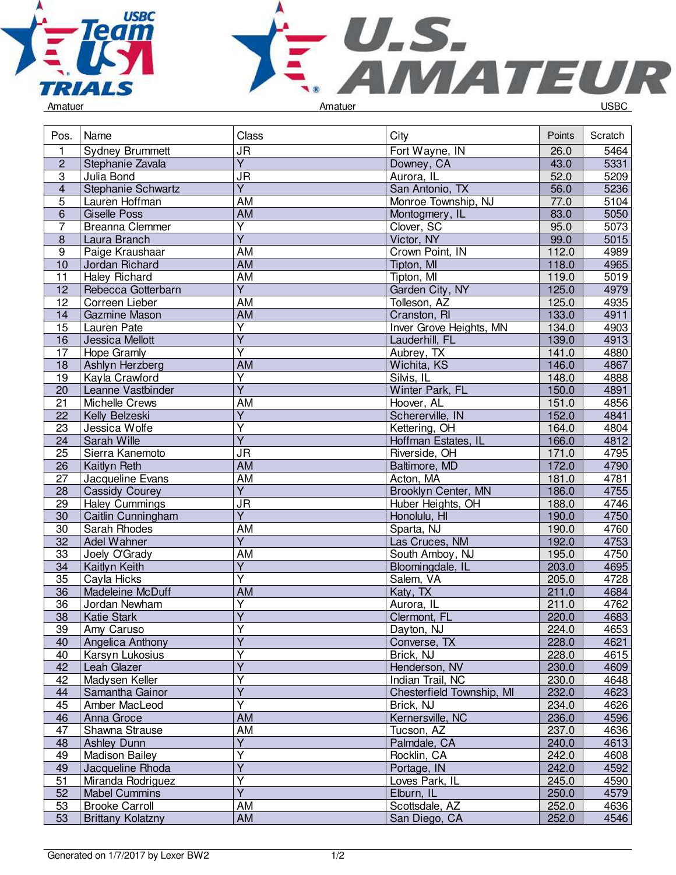



| Pos.            | Name                     | Class                             | City                      | Points | Scratch |
|-----------------|--------------------------|-----------------------------------|---------------------------|--------|---------|
| 1               | Sydney Brummett          | <b>JR</b>                         | Fort Wayne, IN            | 26.0   | 5464    |
| $\overline{2}$  | Stephanie Zavala         | $\overline{Y}$                    | Downey, CA                | 43.0   | 5331    |
| $\overline{3}$  | Julia Bond               | $\overline{\mathsf{J}\mathsf{R}}$ | Aurora, IL                | 52.0   | 5209    |
| $\overline{4}$  | Stephanie Schwartz       | $\overline{Y}$                    | San Antonio, TX           | 56.0   | 5236    |
| $\overline{5}$  | Lauren Hoffman           | <b>AM</b>                         | Monroe Township, NJ       | 77.0   | 5104    |
| 6               | <b>Giselle Poss</b>      | AM                                | Montogmery, IL            | 83.0   | 5050    |
| $\overline{7}$  | Breanna Clemmer          | $\overline{\mathsf{Y}}$           | Clover, SC                | 95.0   | 5073    |
| $\overline{8}$  | Laura Branch             | $\overline{Y}$                    | Victor, NY                | 99.0   | 5015    |
| 9               | Paige Kraushaar          | AM                                | Crown Point, IN           | 112.0  | 4989    |
| 10              | Jordan Richard           | AM                                | Tipton, MI                | 118.0  | 4965    |
| 11              | <b>Haley Richard</b>     | AM                                | Tipton, MI                | 119.0  | 5019    |
| 12              | Rebecca Gotterbarn       | $\overline{Y}$                    | Garden City, NY           | 125.0  | 4979    |
| 12              | Correen Lieber           | <b>AM</b>                         | Tolleson, AZ              | 125.0  | 4935    |
| 14              | <b>Gazmine Mason</b>     | <b>AM</b>                         | Cranston, RI              | 133.0  | 4911    |
| 15              | Lauren Pate              | $\overline{\mathsf{Y}}$           | Inver Grove Heights, MN   | 134.0  | 4903    |
| 16              | Jessica Mellott          | $\overline{\mathsf{Y}}$           | Lauderhill, FL            | 139.0  | 4913    |
| 17              | Hope Gramly              | $\overline{\mathsf{Y}}$           | Aubrey, TX                | 141.0  | 4880    |
| 18              | Ashlyn Herzberg          | AM                                | Wichita, KS               | 146.0  | 4867    |
| 19              | Kayla Crawford           | $\overline{\mathsf{Y}}$           | Silvis, IL                | 148.0  | 4888    |
| 20              | Leanne Vastbinder        | $\overline{\mathsf{Y}}$           | Winter Park, FL           | 150.0  | 4891    |
| $\overline{21}$ | Michelle Crews           | AM                                | Hoover, AL                | 151.0  | 4856    |
| $\overline{22}$ | Kelly Belzeski           | Υ                                 | Schererville, IN          | 152.0  | 4841    |
| 23              | Jessica Wolfe            | $\overline{\mathsf{Y}}$           | Kettering, OH             | 164.0  | 4804    |
| $\overline{24}$ | Sarah Wille              | $\overline{Y}$                    | Hoffman Estates, IL       | 166.0  | 4812    |
| 25              | Sierra Kanemoto          | <b>JR</b>                         | Riverside, OH             | 171.0  | 4795    |
| 26              | Kaitlyn Reth             | <b>AM</b>                         | Baltimore, MD             | 172.0  | 4790    |
| 27              | Jacqueline Evans         | AM                                | Acton, MA                 | 181.0  | 4781    |
| 28              | <b>Cassidy Courey</b>    | $\overline{Y}$                    | Brooklyn Center, MN       | 186.0  | 4755    |
| 29              | <b>Haley Cummings</b>    | <b>JR</b>                         | Huber Heights, OH         | 188.0  | 4746    |
| 30              | Caitlin Cunningham       | Y                                 | Honolulu, HI              | 190.0  | 4750    |
| 30              | Sarah Rhodes             | AM                                | Sparta, NJ                | 190.0  | 4760    |
| $\overline{32}$ | Adel Wahner              | $\overline{Y}$                    | Las Cruces, NM            | 192.0  | 4753    |
| $\overline{33}$ | Joely O'Grady            | AM                                | South Amboy, NJ           | 195.0  | 4750    |
| $\overline{34}$ | Kaitlyn Keith            | $\overline{\mathsf{Y}}$           | Bloomingdale, IL          | 203.0  | 4695    |
| 35              | Cayla Hicks              | $\overline{\mathsf{Y}}$           | Salem, VA                 | 205.0  | 4728    |
| 36              | Madeleine McDuff         | AM                                | Katy, TX                  | 211.0  | 4684    |
| 36              | Jordan Newham            | $\overline{\mathsf{Y}}$           | Aurora, IL                | 211.0  | 4762    |
| 38              | <b>Katie Stark</b>       | $\overline{Y}$                    | Clermont, FL              | 220.0  | 4683    |
| 39              | Amy Caruso               | Y                                 | Dayton, NJ                | 224.0  | 4653    |
| 40              | Angelica Anthony         | $\overline{\mathsf{Y}}$           | Converse, TX              | 228.0  | 4621    |
| 40              | Karsyn Lukosius          | Υ                                 | Brick, NJ                 | 228.0  | 4615    |
| 42              | Leah Glazer              | $\overline{\mathsf{Y}}$           | Henderson, NV             | 230.0  | 4609    |
| 42              | Madysen Keller           | Y                                 | Indian Trail, NC          | 230.0  | 4648    |
| 44              | Samantha Gainor          | $\overline{\mathsf{Y}}$           | Chesterfield Township, MI | 232.0  | 4623    |
| 45              | Amber MacLeod            | Ÿ                                 | Brick, NJ                 | 234.0  | 4626    |
| 46              | Anna Groce               | AM                                | Kernersville, NC          | 236.0  | 4596    |
| 47              | Shawna Strause           | AM                                | Tucson, AZ                | 237.0  | 4636    |
| 48              | <b>Ashley Dunn</b>       | $\overline{Y}$                    | Palmdale, CA              | 240.0  | 4613    |
| 49              | <b>Madison Bailey</b>    | Y                                 | Rocklin, CA               | 242.0  | 4608    |
| 49              | Jacqueline Rhoda         | Y                                 | Portage, IN               | 242.0  | 4592    |
| 51              | Miranda Rodriguez        | Ÿ                                 | Loves Park, IL            | 245.0  | 4590    |
| 52              | <b>Mabel Cummins</b>     | $\overline{Y}$                    | Elburn, IL                | 250.0  | 4579    |
| 53              | <b>Brooke Carroll</b>    | AM                                | Scottsdale, AZ            | 252.0  | 4636    |
| 53              | <b>Brittany Kolatzny</b> | <b>AM</b>                         | San Diego, CA             | 252.0  | 4546    |